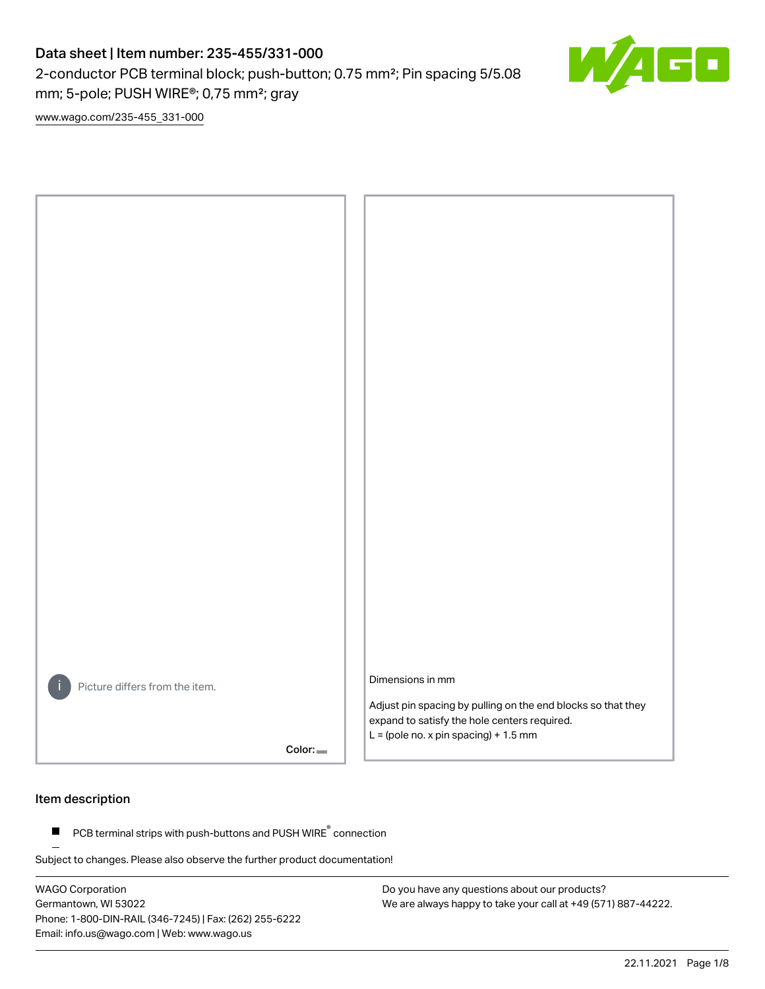# Data sheet | Item number: 235-455/331-000

2-conductor PCB terminal block; push-button; 0.75 mm²; Pin spacing 5/5.08 mm; 5-pole; PUSH WIRE®; 0,75 mm²; gray



[www.wago.com/235-455\\_331-000](http://www.wago.com/235-455_331-000)



#### Item description

PCB terminal strips with push-buttons and PUSH WIRE<sup>®</sup> connection  $\blacksquare$ 

Subject to changes. Please also observe the further product documentation!

WAGO Corporation Germantown, WI 53022 Phone: 1-800-DIN-RAIL (346-7245) | Fax: (262) 255-6222 Email: info.us@wago.com | Web: www.wago.us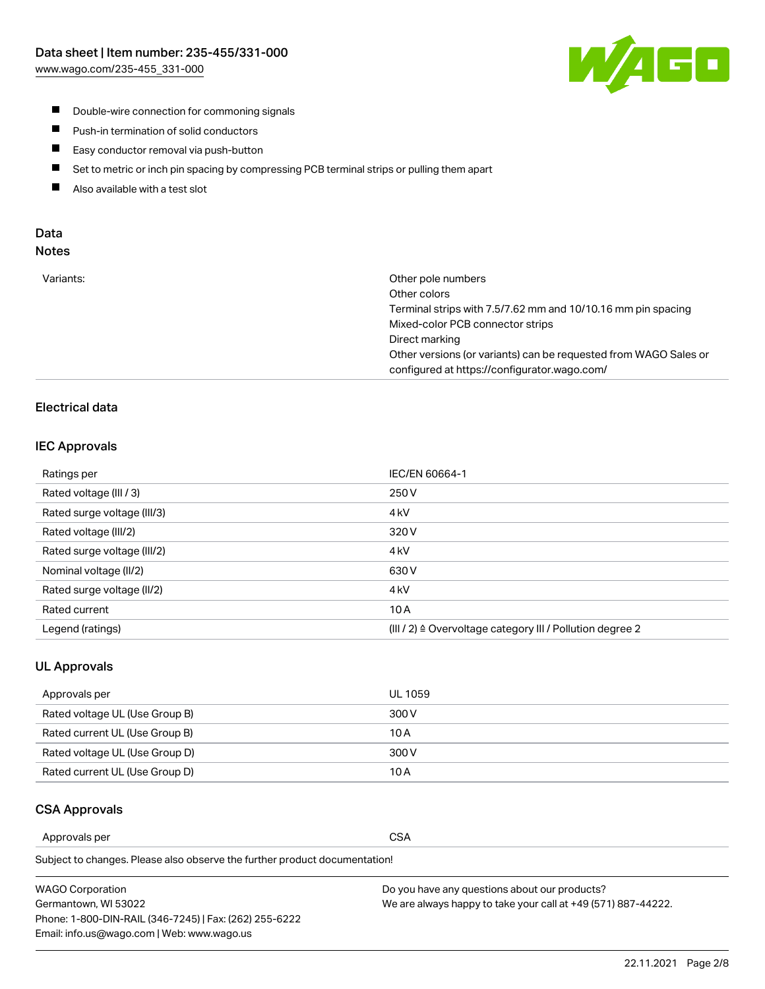

- **Double-wire connection for commoning signals**
- $\blacksquare$ Push-in termination of solid conductors
- Easy conductor removal via push-button  $\blacksquare$
- $\blacksquare$ Set to metric or inch pin spacing by compressing PCB terminal strips or pulling them apart
- $\blacksquare$ Also available with a test slot

#### Data Notes

| Variants: | Other pole numbers<br>Other colors                               |
|-----------|------------------------------------------------------------------|
|           |                                                                  |
|           | Terminal strips with 7.5/7.62 mm and 10/10.16 mm pin spacing     |
|           | Mixed-color PCB connector strips                                 |
|           | Direct marking                                                   |
|           | Other versions (or variants) can be requested from WAGO Sales or |
|           | configured at https://configurator.wago.com/                     |
|           |                                                                  |

## Electrical data

#### IEC Approvals

| Ratings per                 | IEC/EN 60664-1                                                        |
|-----------------------------|-----------------------------------------------------------------------|
| Rated voltage (III / 3)     | 250 V                                                                 |
| Rated surge voltage (III/3) | 4 <sub>k</sub> V                                                      |
| Rated voltage (III/2)       | 320 V                                                                 |
| Rated surge voltage (III/2) | 4 <sub>k</sub> V                                                      |
| Nominal voltage (II/2)      | 630 V                                                                 |
| Rated surge voltage (II/2)  | 4 <sub>k</sub> V                                                      |
| Rated current               | 10A                                                                   |
| Legend (ratings)            | $(III / 2)$ $\triangle$ Overvoltage category III / Pollution degree 2 |

#### UL Approvals

| Approvals per                  | UL 1059 |
|--------------------------------|---------|
| Rated voltage UL (Use Group B) | 300 V   |
| Rated current UL (Use Group B) | 10 A    |
| Rated voltage UL (Use Group D) | 300 V   |
| Rated current UL (Use Group D) | 10 A    |

#### CSA Approvals

Approvals per CSA

Subject to changes. Please also observe the further product documentation!

| WAGO Corporation                                       | Do you have any questions about our products?                 |
|--------------------------------------------------------|---------------------------------------------------------------|
| Germantown, WI 53022                                   | We are always happy to take your call at +49 (571) 887-44222. |
| Phone: 1-800-DIN-RAIL (346-7245)   Fax: (262) 255-6222 |                                                               |
| Email: info.us@wago.com   Web: www.wago.us             |                                                               |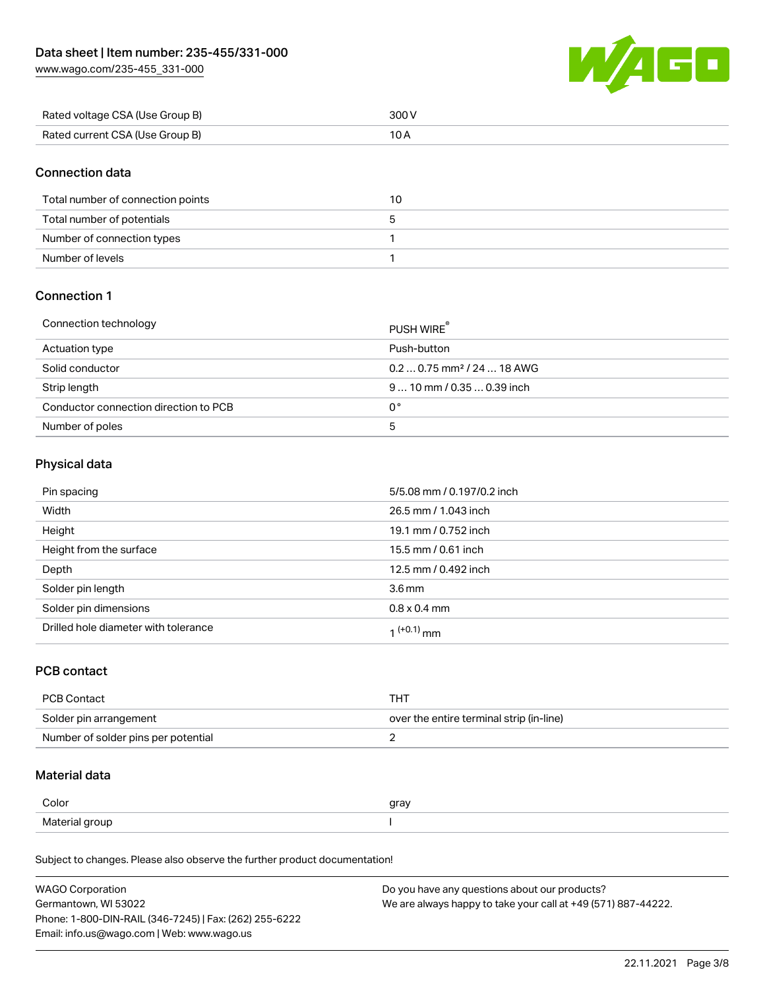[www.wago.com/235-455\\_331-000](http://www.wago.com/235-455_331-000)



| Rated voltage CSA (Use Group B) | 300 V |
|---------------------------------|-------|
| Rated current CSA (Use Group B) |       |

## Connection data

| Total number of connection points | 10 |
|-----------------------------------|----|
| Total number of potentials        |    |
| Number of connection types        |    |
| Number of levels                  |    |

## Connection 1

| Connection technology                 | PUSH WIRE <sup>®</sup>                 |
|---------------------------------------|----------------------------------------|
| Actuation type                        | Push-button                            |
| Solid conductor                       | $0.20.75$ mm <sup>2</sup> / 24  18 AWG |
| Strip length                          | $910$ mm / 0.35  0.39 inch             |
| Conductor connection direction to PCB | 0°                                     |
| Number of poles                       | ხ                                      |

#### Physical data

| Pin spacing                          | 5/5.08 mm / 0.197/0.2 inch |
|--------------------------------------|----------------------------|
| Width                                | 26.5 mm / 1.043 inch       |
| Height                               | 19.1 mm / 0.752 inch       |
| Height from the surface              | 15.5 mm / 0.61 inch        |
| Depth                                | 12.5 mm / 0.492 inch       |
| Solder pin length                    | 3.6 <sub>mm</sub>          |
| Solder pin dimensions                | $0.8 \times 0.4$ mm        |
| Drilled hole diameter with tolerance | $(1+0.1)$ mm               |

## PCB contact

| <b>PCB Contact</b>                  | тнт                                      |
|-------------------------------------|------------------------------------------|
| Solder pin arrangement              | over the entire terminal strip (in-line) |
| Number of solder pins per potential |                                          |

## Material data

| Color          | gray |
|----------------|------|
| Material group |      |

Subject to changes. Please also observe the further product documentation!

| <b>WAGO Corporation</b>                                | Do you have any questions about our products?                 |
|--------------------------------------------------------|---------------------------------------------------------------|
| Germantown, WI 53022                                   | We are always happy to take your call at +49 (571) 887-44222. |
| Phone: 1-800-DIN-RAIL (346-7245)   Fax: (262) 255-6222 |                                                               |
| Email: info.us@wago.com   Web: www.wago.us             |                                                               |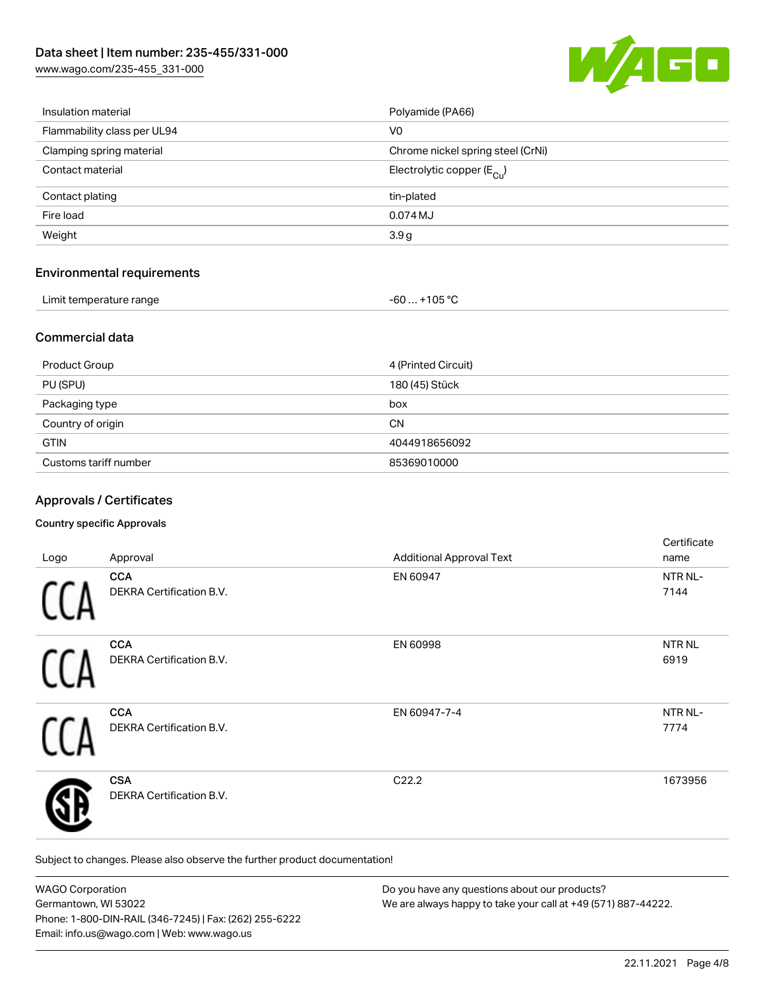[www.wago.com/235-455\\_331-000](http://www.wago.com/235-455_331-000)



| Limit temperature range           | $-60+105 °C$                          |
|-----------------------------------|---------------------------------------|
| <b>Environmental requirements</b> |                                       |
| Weight                            | 3.9 <sub>g</sub>                      |
| Fire load                         | 0.074 MJ                              |
| Contact plating                   | tin-plated                            |
| Contact material                  | Electrolytic copper $(E_{\text{Cl}})$ |
| Clamping spring material          | Chrome nickel spring steel (CrNi)     |
| Flammability class per UL94       | V <sub>0</sub>                        |
| Insulation material               | Polyamide (PA66)                      |

## Commercial data

| Product Group         | 4 (Printed Circuit) |
|-----------------------|---------------------|
| PU (SPU)              | 180 (45) Stück      |
| Packaging type        | box                 |
| Country of origin     | <b>CN</b>           |
| <b>GTIN</b>           | 4044918656092       |
| Customs tariff number | 85369010000         |

## Approvals / Certificates

#### Country specific Approvals

| Logo | Approval                                      | <b>Additional Approval Text</b> | Certificate<br>name       |
|------|-----------------------------------------------|---------------------------------|---------------------------|
|      | <b>CCA</b><br>DEKRA Certification B.V.        | EN 60947                        | NTR NL-<br>7144           |
|      | <b>CCA</b><br><b>DEKRA Certification B.V.</b> | EN 60998                        | NTR <sub>NL</sub><br>6919 |
|      | <b>CCA</b><br>DEKRA Certification B.V.        | EN 60947-7-4                    | NTR NL-<br>7774           |
|      | <b>CSA</b><br>DEKRA Certification B.V.        | C22.2                           | 1673956                   |

Subject to changes. Please also observe the further product documentation!

| <b>WAGO Corporation</b>                                | Do you have any questions about our products?                 |
|--------------------------------------------------------|---------------------------------------------------------------|
| Germantown, WI 53022                                   | We are always happy to take your call at +49 (571) 887-44222. |
| Phone: 1-800-DIN-RAIL (346-7245)   Fax: (262) 255-6222 |                                                               |
| Email: info.us@wago.com   Web: www.wago.us             |                                                               |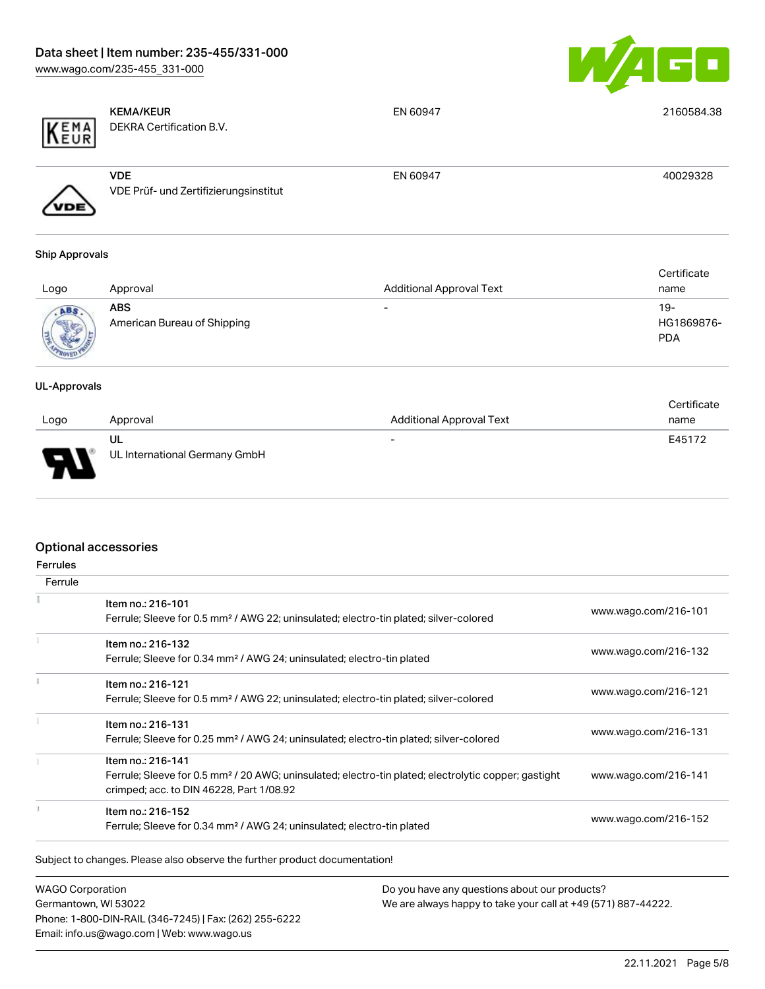

| KEMA                | <b>KEMA/KEUR</b><br>DEKRA Certification B.V.        | EN 60947                        | 2160584.38               |
|---------------------|-----------------------------------------------------|---------------------------------|--------------------------|
|                     | <b>VDE</b><br>VDE Prüf- und Zertifizierungsinstitut | EN 60947                        | 40029328                 |
| Ship Approvals      |                                                     |                                 |                          |
|                     |                                                     |                                 | Certificate              |
| Logo                | Approval                                            | <b>Additional Approval Text</b> | name                     |
| ABS                 | <b>ABS</b>                                          | ۰                               | $19 -$                   |
|                     | American Bureau of Shipping                         |                                 | HG1869876-<br><b>PDA</b> |
| <b>UL-Approvals</b> |                                                     |                                 |                          |
|                     |                                                     |                                 | Certificate              |

| Logo     | Approval                            | <b>Additional Approval Text</b> | - - - - - - -<br>name |
|----------|-------------------------------------|---------------------------------|-----------------------|
| L<br>. . | UL<br>UL International Germany GmbH | $\overline{\phantom{0}}$        | E45172                |

## Optional accessories

| <b>Ferrules</b><br>Ferrule |                                                                                                                                                                                   |                      |
|----------------------------|-----------------------------------------------------------------------------------------------------------------------------------------------------------------------------------|----------------------|
|                            | Item no.: 216-101<br>Ferrule; Sleeve for 0.5 mm <sup>2</sup> / AWG 22; uninsulated; electro-tin plated; silver-colored                                                            | www.wago.com/216-101 |
|                            | Item no.: 216-132<br>Ferrule; Sleeve for 0.34 mm <sup>2</sup> / AWG 24; uninsulated; electro-tin plated                                                                           | www.wago.com/216-132 |
|                            | Item no.: 216-121<br>Ferrule; Sleeve for 0.5 mm <sup>2</sup> / AWG 22; uninsulated; electro-tin plated; silver-colored                                                            | www.wago.com/216-121 |
|                            | Item no.: 216-131<br>Ferrule; Sleeve for 0.25 mm <sup>2</sup> / AWG 24; uninsulated; electro-tin plated; silver-colored                                                           | www.wago.com/216-131 |
|                            | Item no.: 216-141<br>Ferrule; Sleeve for 0.5 mm <sup>2</sup> / 20 AWG; uninsulated; electro-tin plated; electrolytic copper; gastight<br>crimped; acc. to DIN 46228, Part 1/08.92 | www.wago.com/216-141 |
|                            | Item no.: 216-152<br>Ferrule; Sleeve for 0.34 mm <sup>2</sup> / AWG 24; uninsulated; electro-tin plated                                                                           | www.wago.com/216-152 |

WAGO Corporation Germantown, WI 53022 Phone: 1-800-DIN-RAIL (346-7245) | Fax: (262) 255-6222 Email: info.us@wago.com | Web: www.wago.us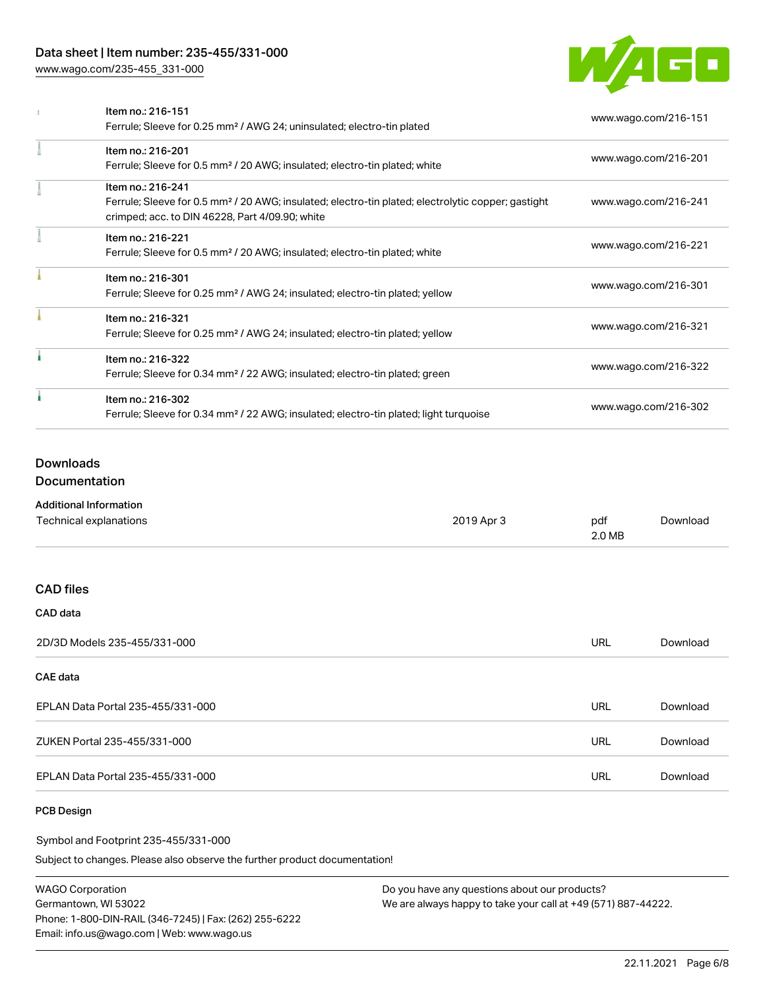## Data sheet | Item number: 235-455/331-000

[www.wago.com/235-455\\_331-000](http://www.wago.com/235-455_331-000)



| Item no.: 216-151                                                                                              | www.wago.com/216-151 |
|----------------------------------------------------------------------------------------------------------------|----------------------|
| Ferrule; Sleeve for 0.25 mm <sup>2</sup> / AWG 24; uninsulated; electro-tin plated                             |                      |
| Item no.: 216-201                                                                                              |                      |
| Ferrule; Sleeve for 0.5 mm <sup>2</sup> / 20 AWG; insulated; electro-tin plated; white                         | www.wago.com/216-201 |
| Item no.: 216-241                                                                                              |                      |
| Ferrule; Sleeve for 0.5 mm <sup>2</sup> / 20 AWG; insulated; electro-tin plated; electrolytic copper; gastight | www.wago.com/216-241 |
| crimped; acc. to DIN 46228, Part 4/09.90; white                                                                |                      |
| Item no.: 216-221                                                                                              |                      |
| Ferrule; Sleeve for 0.5 mm <sup>2</sup> / 20 AWG; insulated; electro-tin plated; white                         | www.wago.com/216-221 |
| Item no.: 216-301                                                                                              |                      |
| Ferrule; Sleeve for 0.25 mm <sup>2</sup> / AWG 24; insulated; electro-tin plated; yellow                       | www.wago.com/216-301 |
| Item no.: 216-321                                                                                              |                      |
| Ferrule; Sleeve for 0.25 mm <sup>2</sup> / AWG 24; insulated; electro-tin plated; yellow                       | www.wago.com/216-321 |
| Item no.: 216-322                                                                                              |                      |
| Ferrule; Sleeve for 0.34 mm <sup>2</sup> / 22 AWG; insulated; electro-tin plated; green                        | www.wago.com/216-322 |
| Item no.: 216-302                                                                                              |                      |
| Ferrule; Sleeve for 0.34 mm <sup>2</sup> / 22 AWG; insulated; electro-tin plated; light turquoise              | www.wago.com/216-302 |

## Downloads

Documentation

| <b>Additional Information</b> |            |               |          |
|-------------------------------|------------|---------------|----------|
| Technical explanations        | 2019 Apr 3 | pdf<br>2.0 MB | Download |
|                               |            |               |          |

#### CAD files

| <b>CAD</b> data                   |     |          |
|-----------------------------------|-----|----------|
| 2D/3D Models 235-455/331-000      | URL | Download |
| <b>CAE data</b>                   |     |          |
| EPLAN Data Portal 235-455/331-000 | URL | Download |
| ZUKEN Portal 235-455/331-000      | URL | Download |
| EPLAN Data Portal 235-455/331-000 | URL | Download |

#### PCB Design

Symbol and Footprint 235-455/331-000

Subject to changes. Please also observe the further product documentation!

WAGO Corporation Germantown, WI 53022 Phone: 1-800-DIN-RAIL (346-7245) | Fax: (262) 255-6222 Email: info.us@wago.com | Web: www.wago.us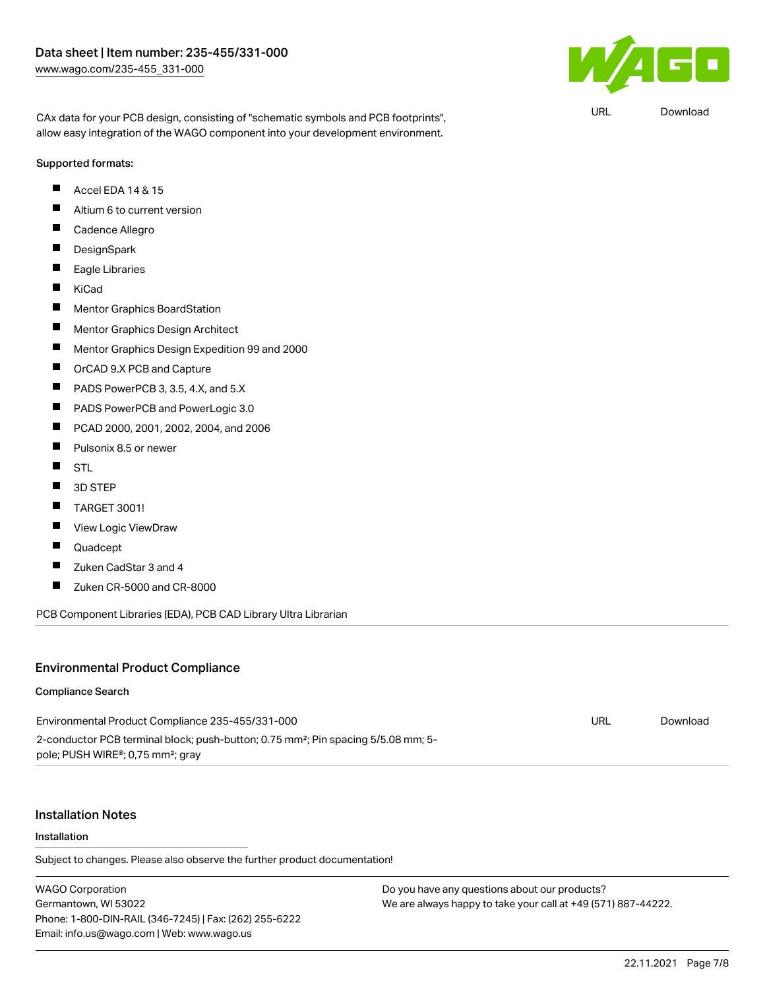

URL [Download](https://www.wago.com/global/d/UltraLibrarian_URLS_235-455_331-000)

CAx data for your PCB design, consisting of "schematic symbols and PCB footprints", allow easy integration of the WAGO component into your development environment.

#### Supported formats:

- $\blacksquare$ Accel EDA 14 & 15
- $\blacksquare$ Altium 6 to current version
- П Cadence Allegro
- $\blacksquare$ **DesignSpark**
- $\blacksquare$ Eagle Libraries
- $\blacksquare$ KiCad
- $\blacksquare$ Mentor Graphics BoardStation
- $\blacksquare$ Mentor Graphics Design Architect
- $\blacksquare$ Mentor Graphics Design Expedition 99 and 2000
- $\blacksquare$ OrCAD 9.X PCB and Capture
- П PADS PowerPCB 3, 3.5, 4.X, and 5.X
- $\blacksquare$ PADS PowerPCB and PowerLogic 3.0
- $\blacksquare$ PCAD 2000, 2001, 2002, 2004, and 2006
- $\blacksquare$ Pulsonix 8.5 or newer
- $\blacksquare$ STL
- $\blacksquare$ 3D STEP
- $\blacksquare$ TARGET 3001!
- П View Logic ViewDraw
- $\blacksquare$ Quadcept
- $\blacksquare$ Zuken CadStar 3 and 4
- П Zuken CR-5000 and CR-8000

PCB Component Libraries (EDA), PCB CAD Library Ultra Librarian

#### Environmental Product Compliance

#### Compliance Search

| Environmental Product Compliance 235-455/331-000                                              | URL | Download |
|-----------------------------------------------------------------------------------------------|-----|----------|
| 2-conductor PCB terminal block; push-button; 0.75 mm <sup>2</sup> ; Pin spacing 5/5.08 mm; 5- |     |          |
| pole; PUSH WIRE®; 0,75 mm <sup>2</sup> ; gray                                                 |     |          |

#### Installation Notes

#### Installation

Subject to changes. Please also observe the further product documentation!

WAGO Corporation Germantown, WI 53022 Phone: 1-800-DIN-RAIL (346-7245) | Fax: (262) 255-6222 Email: info.us@wago.com | Web: www.wago.us